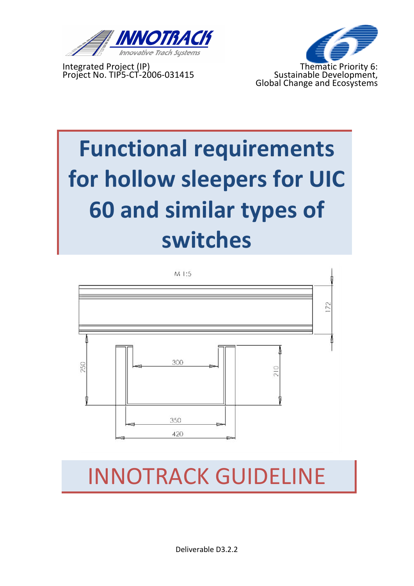

Integrated Project (IP) Thematic Priority 6:



# **Functional requirements** for hollow sleepers for UIC **60 and similar types of switches**



# INNOTRACK)GUIDELINE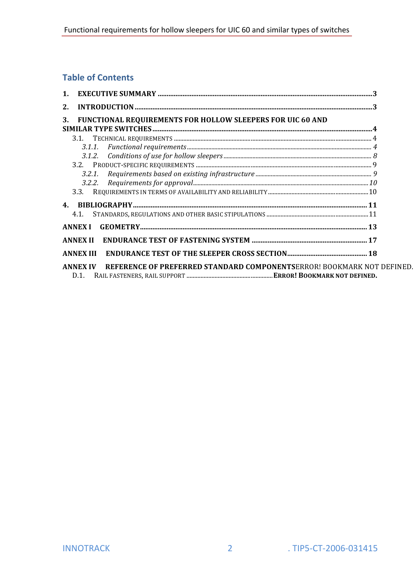#### **Table of Contents**

| $\mathbf{1}$ . |                                                                                                  |  |
|----------------|--------------------------------------------------------------------------------------------------|--|
| 2.             |                                                                                                  |  |
| 3.             | FUNCTIONAL REQUIREMENTS FOR HOLLOW SLEEPERS FOR UIC 60 AND                                       |  |
|                |                                                                                                  |  |
|                |                                                                                                  |  |
|                |                                                                                                  |  |
|                |                                                                                                  |  |
|                |                                                                                                  |  |
|                |                                                                                                  |  |
|                | 3.3.                                                                                             |  |
| 4 <sub>1</sub> |                                                                                                  |  |
|                | 4.1.                                                                                             |  |
|                | <b>ANNEX I</b>                                                                                   |  |
|                | <b>ANNEX II</b>                                                                                  |  |
|                | <b>ANNEX III</b>                                                                                 |  |
|                | REFERENCE OF PREFERRED STANDARD COMPONENTSERROR! BOOKMARK NOT DEFINED<br><b>ANNEX IV</b><br>D.1. |  |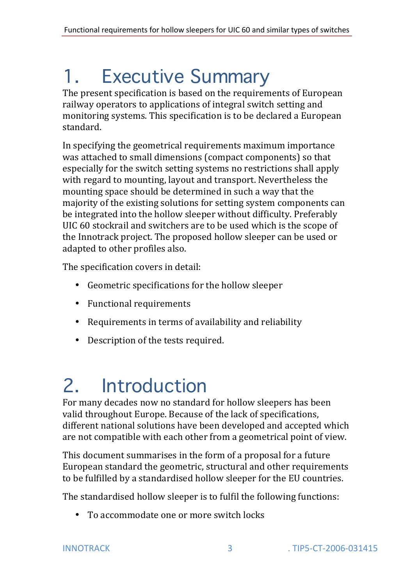# 1. Executive Summary

The present specification is based on the requirements of European railway operators to applications of integral switch setting and monitoring systems. This specification is to be declared a European standard.

In specifying the geometrical requirements maximum importance was attached to small dimensions (compact components) so that especially for the switch setting systems no restrictions shall apply with regard to mounting, layout and transport. Nevertheless the mounting space should be determined in such a way that the majority of the existing solutions for setting system components can be integrated into the hollow sleeper without difficulty. Preferably UIC 60 stockrail and switchers are to be used which is the scope of the Innotrack project. The proposed hollow sleeper can be used or adapted to other profiles also.

The specification covers in detail:

- Geometric specifications for the hollow sleeper
- Functional requirements
- Requirements in terms of availability and reliability
- Description of the tests required.

# 2. Introduction

For many decades now no standard for hollow sleepers has been valid throughout Europe. Because of the lack of specifications, different national solutions have been developed and accepted which are not compatible with each other from a geometrical point of view.

This document summarises in the form of a proposal for a future European standard the geometric, structural and other requirements to be fulfilled by a standardised hollow sleeper for the EU countries.

The standardised hollow sleeper is to fulfil the following functions:

To accommodate one or more switch locks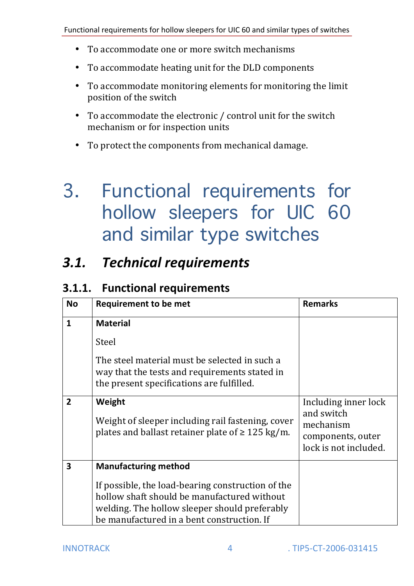- To accommodate one or more switch mechanisms
- To accommodate heating unit for the DLD components
- To accommodate monitoring elements for monitoring the limit position of the switch
- To accommodate the electronic / control unit for the switch mechanism or for inspection units
- To protect the components from mechanical damage.

## 3. Functional requirements for hollow sleepers for UIC 60 and similar type switches

### **3.1.** Technical requirements

#### **3.1.1.** Functional requirements

| <b>No</b>               | <b>Requirement to be met</b>                                                                                                                                                                    | <b>Remarks</b>                                                                                |
|-------------------------|-------------------------------------------------------------------------------------------------------------------------------------------------------------------------------------------------|-----------------------------------------------------------------------------------------------|
| $\mathbf{1}$            | <b>Material</b>                                                                                                                                                                                 |                                                                                               |
|                         | Steel                                                                                                                                                                                           |                                                                                               |
|                         | The steel material must be selected in such a<br>way that the tests and requirements stated in<br>the present specifications are fulfilled.                                                     |                                                                                               |
| $\overline{2}$          | Weight<br>Weight of sleeper including rail fastening, cover<br>plates and ballast retainer plate of $\geq 125$ kg/m.                                                                            | Including inner lock<br>and switch<br>mechanism<br>components, outer<br>lock is not included. |
| $\overline{\mathbf{3}}$ | <b>Manufacturing method</b>                                                                                                                                                                     |                                                                                               |
|                         | If possible, the load-bearing construction of the<br>hollow shaft should be manufactured without<br>welding. The hollow sleeper should preferably<br>be manufactured in a bent construction. If |                                                                                               |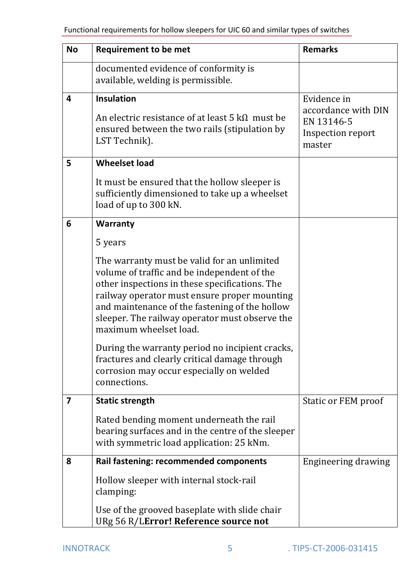| <b>No</b> | <b>Requirement to be met</b>                                                                                                                                                                                                                                                                                               | <b>Remarks</b>                                                   |
|-----------|----------------------------------------------------------------------------------------------------------------------------------------------------------------------------------------------------------------------------------------------------------------------------------------------------------------------------|------------------------------------------------------------------|
|           | documented evidence of conformity is<br>available, welding is permissible.                                                                                                                                                                                                                                                 |                                                                  |
| 4         | <b>Insulation</b>                                                                                                                                                                                                                                                                                                          | Evidence in                                                      |
|           | An electric resistance of at least 5 $k\Omega$ must be<br>ensured between the two rails (stipulation by<br>LST Technik).                                                                                                                                                                                                   | accordance with DIN<br>EN 13146-5<br>Inspection report<br>master |
| 5         | <b>Wheelset load</b>                                                                                                                                                                                                                                                                                                       |                                                                  |
|           | It must be ensured that the hollow sleeper is<br>sufficiently dimensioned to take up a wheelset<br>load of up to 300 kN.                                                                                                                                                                                                   |                                                                  |
| 6         | <b>Warranty</b>                                                                                                                                                                                                                                                                                                            |                                                                  |
|           | 5 years                                                                                                                                                                                                                                                                                                                    |                                                                  |
|           | The warranty must be valid for an unlimited<br>volume of traffic and be independent of the<br>other inspections in these specifications. The<br>railway operator must ensure proper mounting<br>and maintenance of the fastening of the hollow<br>sleeper. The railway operator must observe the<br>maximum wheelset load. |                                                                  |
|           | During the warranty period no incipient cracks,<br>fractures and clearly critical damage through<br>corrosion may occur especially on welded<br>connections.                                                                                                                                                               |                                                                  |
| 7         | <b>Static strength</b>                                                                                                                                                                                                                                                                                                     | <b>Static or FEM proof</b>                                       |
|           | Rated bending moment underneath the rail<br>bearing surfaces and in the centre of the sleeper<br>with symmetric load application: 25 kNm.                                                                                                                                                                                  |                                                                  |
| 8         | <b>Rail fastening: recommended components</b>                                                                                                                                                                                                                                                                              | Engineering drawing                                              |
|           | Hollow sleeper with internal stock-rail<br>clamping:                                                                                                                                                                                                                                                                       |                                                                  |
|           | Use of the grooved baseplate with slide chair<br>URg 56 R/LError! Reference source not                                                                                                                                                                                                                                     |                                                                  |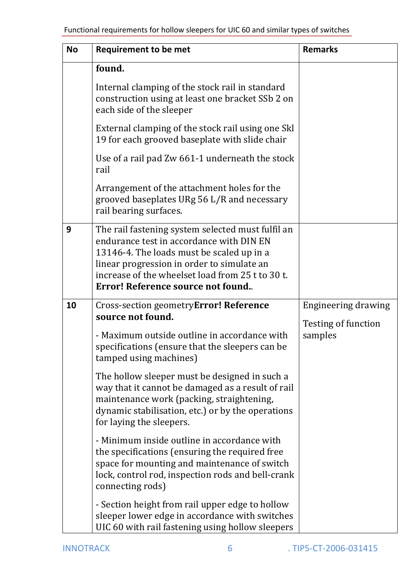| <b>No</b> | <b>Requirement to be met</b>                                                                                                                                                                                                                                                      | <b>Remarks</b>                        |
|-----------|-----------------------------------------------------------------------------------------------------------------------------------------------------------------------------------------------------------------------------------------------------------------------------------|---------------------------------------|
|           | found.                                                                                                                                                                                                                                                                            |                                       |
|           | Internal clamping of the stock rail in standard<br>construction using at least one bracket SSb 2 on<br>each side of the sleeper                                                                                                                                                   |                                       |
|           | External clamping of the stock rail using one Skl<br>19 for each grooved baseplate with slide chair                                                                                                                                                                               |                                       |
|           | Use of a rail pad Zw 661-1 underneath the stock<br>rail                                                                                                                                                                                                                           |                                       |
|           | Arrangement of the attachment holes for the<br>grooved baseplates URg 56 L/R and necessary<br>rail bearing surfaces.                                                                                                                                                              |                                       |
| 9         | The rail fastening system selected must fulfil an<br>endurance test in accordance with DIN EN<br>13146-4. The loads must be scaled up in a<br>linear progression in order to simulate an<br>increase of the wheelset load from 25 t to 30 t.<br>Error! Reference source not found |                                       |
| 10        | Cross-section geometryError! Reference                                                                                                                                                                                                                                            | <b>Engineering drawing</b>            |
|           | source not found.<br>- Maximum outside outline in accordance with<br>specifications (ensure that the sleepers can be<br>tamped using machines)                                                                                                                                    | <b>Testing of function</b><br>samples |
|           | The hollow sleeper must be designed in such a<br>way that it cannot be damaged as a result of rail<br>maintenance work (packing, straightening,<br>dynamic stabilisation, etc.) or by the operations<br>for laying the sleepers.                                                  |                                       |
|           | - Minimum inside outline in accordance with<br>the specifications (ensuring the required free<br>space for mounting and maintenance of switch<br>lock, control rod, inspection rods and bell-crank<br>connecting rods)                                                            |                                       |
|           | - Section height from rail upper edge to hollow<br>sleeper lower edge in accordance with switches<br>UIC 60 with rail fastening using hollow sleepers                                                                                                                             |                                       |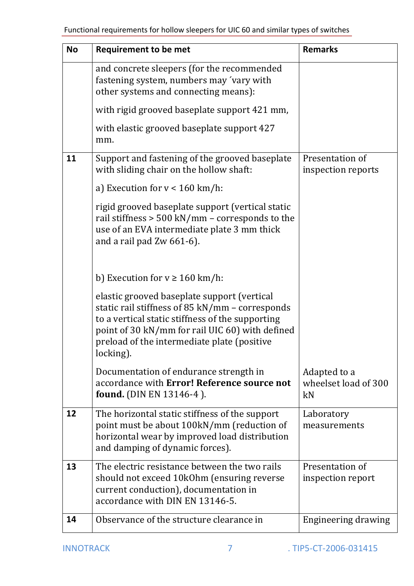| <b>No</b> | <b>Requirement to be met</b>                                                                                                                                                                                                                                      | <b>Remarks</b>                             |
|-----------|-------------------------------------------------------------------------------------------------------------------------------------------------------------------------------------------------------------------------------------------------------------------|--------------------------------------------|
|           | and concrete sleepers (for the recommended<br>fastening system, numbers may 'vary with<br>other systems and connecting means):                                                                                                                                    |                                            |
|           | with rigid grooved baseplate support 421 mm,                                                                                                                                                                                                                      |                                            |
|           | with elastic grooved baseplate support 427<br>mm.                                                                                                                                                                                                                 |                                            |
| 11        | Support and fastening of the grooved baseplate<br>with sliding chair on the hollow shaft:                                                                                                                                                                         | Presentation of<br>inspection reports      |
|           | a) Execution for $v < 160$ km/h:                                                                                                                                                                                                                                  |                                            |
|           | rigid grooved baseplate support (vertical static<br>rail stiffness $> 500$ kN/mm - corresponds to the<br>use of an EVA intermediate plate 3 mm thick<br>and a rail pad $Zw$ 661-6).                                                                               |                                            |
|           | b) Execution for $v \ge 160$ km/h:                                                                                                                                                                                                                                |                                            |
|           | elastic grooved baseplate support (vertical<br>static rail stiffness of 85 kN/mm - corresponds<br>to a vertical static stiffness of the supporting<br>point of 30 kN/mm for rail UIC 60) with defined<br>preload of the intermediate plate (positive<br>locking). |                                            |
|           | Documentation of endurance strength in<br>accordance with Error! Reference source not<br>found. (DIN EN 13146-4).                                                                                                                                                 | Adapted to a<br>wheelset load of 300<br>kN |
| 12        | The horizontal static stiffness of the support<br>point must be about 100kN/mm (reduction of<br>horizontal wear by improved load distribution<br>and damping of dynamic forces).                                                                                  | Laboratory<br>measurements                 |
| 13        | The electric resistance between the two rails<br>should not exceed 10k0hm (ensuring reverse<br>current conduction), documentation in<br>accordance with DIN EN 13146-5.                                                                                           | Presentation of<br>inspection report       |
| 14        | Observance of the structure clearance in                                                                                                                                                                                                                          | <b>Engineering drawing</b>                 |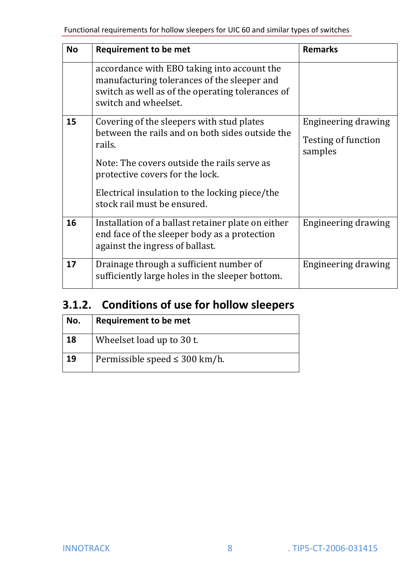| <b>No</b> | <b>Requirement to be met</b>                                                                                                                                                                                                                                              | <b>Remarks</b>                                        |
|-----------|---------------------------------------------------------------------------------------------------------------------------------------------------------------------------------------------------------------------------------------------------------------------------|-------------------------------------------------------|
|           | accordance with EBO taking into account the<br>manufacturing tolerances of the sleeper and<br>switch as well as of the operating tolerances of<br>switch and wheelset.                                                                                                    |                                                       |
| 15        | Covering of the sleepers with stud plates<br>between the rails and on both sides outside the<br>rails.<br>Note: The covers outside the rails serve as<br>protective covers for the lock.<br>Electrical insulation to the locking piece/the<br>stock rail must be ensured. | Engineering drawing<br>Testing of function<br>samples |
| 16        | Installation of a ballast retainer plate on either<br>end face of the sleeper body as a protection<br>against the ingress of ballast.                                                                                                                                     | Engineering drawing                                   |
| 17        | Drainage through a sufficient number of<br>sufficiently large holes in the sleeper bottom.                                                                                                                                                                                | Engineering drawing                                   |

### **3.1.2.** Conditions of use for hollow sleepers

| No. | Requirement to be met              |
|-----|------------------------------------|
| 18  | Wheelset load up to 30 t.          |
| 19  | Permissible speed $\leq$ 300 km/h. |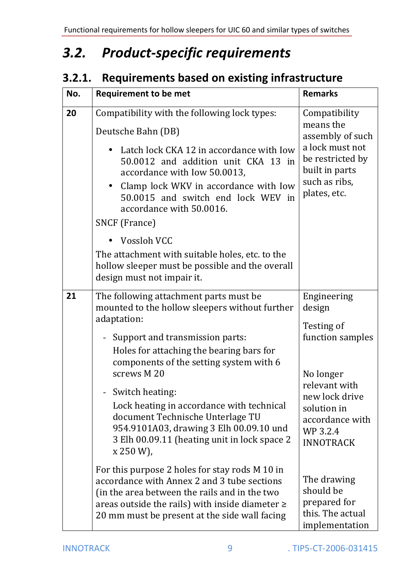#### **Product-specific requirements**  $3.2.$

### 3.2.1. Requirements based on existing infrastructure

| No. | <b>Requirement to be met</b>                                                                                                                                                                                                                                                                                                                                                                                                                                                                                                                                                                                                                                                                                              | <b>Remarks</b>                                                                                                                                                                                                                                              |
|-----|---------------------------------------------------------------------------------------------------------------------------------------------------------------------------------------------------------------------------------------------------------------------------------------------------------------------------------------------------------------------------------------------------------------------------------------------------------------------------------------------------------------------------------------------------------------------------------------------------------------------------------------------------------------------------------------------------------------------------|-------------------------------------------------------------------------------------------------------------------------------------------------------------------------------------------------------------------------------------------------------------|
| 20  | Compatibility with the following lock types:<br>Deutsche Bahn (DB)<br>Latch lock CKA 12 in accordance with Iow<br>50.0012 and addition unit CKA 13 in<br>accordance with Iow 50.0013,<br>Clamp lock WKV in accordance with Iow<br>$\bullet$<br>50,0015 and switch end lock WEV in<br>accordance with 50.0016.<br>SNCF (France)<br><b>Vossloh VCC</b><br>The attachment with suitable holes, etc. to the<br>hollow sleeper must be possible and the overall<br>design must not impair it.                                                                                                                                                                                                                                  | Compatibility<br>means the<br>assembly of such<br>a lock must not<br>be restricted by<br>built in parts<br>such as ribs,<br>plates, etc.                                                                                                                    |
| 21  | The following attachment parts must be<br>mounted to the hollow sleepers without further<br>adaptation:<br>Support and transmission parts:<br>Holes for attaching the bearing bars for<br>components of the setting system with 6<br>screws M 20<br>Switch heating:<br>Lock heating in accordance with technical<br>document Technische Unterlage TU<br>954.9101A03, drawing 3 Elh 00.09.10 und<br>3 Elh 00.09.11 (heating unit in lock space 2<br>$x 250 W$ ,<br>For this purpose 2 holes for stay rods M 10 in<br>accordance with Annex 2 and 3 tube sections<br>(in the area between the rails and in the two<br>areas outside the rails) with inside diameter $\geq$<br>20 mm must be present at the side wall facing | Engineering<br>design<br>Testing of<br>function samples<br>No longer<br>relevant with<br>new lock drive<br>solution in<br>accordance with<br>WP 3.2.4<br><b>INNOTRACK</b><br>The drawing<br>should be<br>prepared for<br>this. The actual<br>implementation |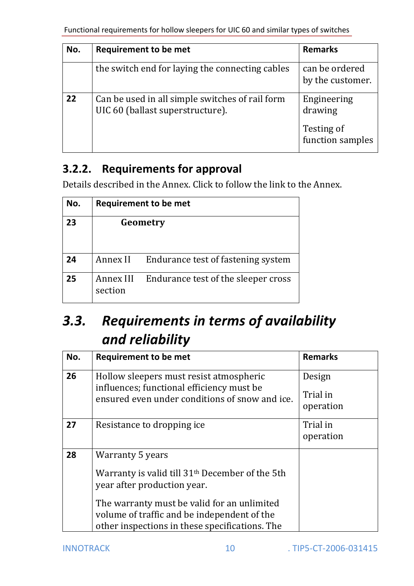| No. | <b>Requirement to be met</b>                                                        | <b>Remarks</b>                                           |
|-----|-------------------------------------------------------------------------------------|----------------------------------------------------------|
|     | the switch end for laying the connecting cables                                     | can be ordered<br>by the customer.                       |
| 22  | Can be used in all simple switches of rail form<br>UIC 60 (ballast superstructure). | Engineering<br>drawing<br>Testing of<br>function samples |

### **3.2.2.** Requirements for approval

Details described in the Annex. Click to follow the link to the Annex.

| No. | <b>Requirement to be met</b> |                                     |
|-----|------------------------------|-------------------------------------|
| 23  |                              | Geometry                            |
| 24  | Annex II                     | Endurance test of fastening system  |
| 25  | Annex III<br>section         | Endurance test of the sleeper cross |

### **3.3.** Requirements in terms of availability and reliability

| No. | <b>Requirement to be met</b>                                                                                                                                                                                                                                   | <b>Remarks</b>                  |
|-----|----------------------------------------------------------------------------------------------------------------------------------------------------------------------------------------------------------------------------------------------------------------|---------------------------------|
| 26  | Hollow sleepers must resist atmospheric<br>influences; functional efficiency must be<br>ensured even under conditions of snow and ice.                                                                                                                         | Design<br>Trial in<br>operation |
| 27  | Resistance to dropping ice                                                                                                                                                                                                                                     | Trial in<br>operation           |
| 28  | Warranty 5 years<br>Warranty is valid till 31 <sup>th</sup> December of the 5th<br>year after production year.<br>The warranty must be valid for an unlimited<br>volume of traffic and be independent of the<br>other inspections in these specifications. The |                                 |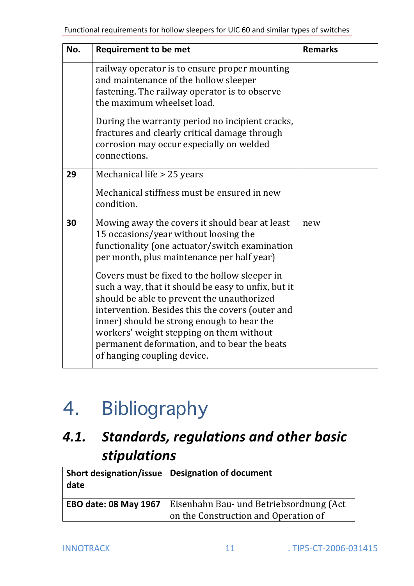| No. | <b>Requirement to be met</b>                                                                                                                                                                                                                                                                                                                                                    | <b>Remarks</b> |
|-----|---------------------------------------------------------------------------------------------------------------------------------------------------------------------------------------------------------------------------------------------------------------------------------------------------------------------------------------------------------------------------------|----------------|
|     | railway operator is to ensure proper mounting<br>and maintenance of the hollow sleeper<br>fastening. The railway operator is to observe<br>the maximum wheelset load.                                                                                                                                                                                                           |                |
|     | During the warranty period no incipient cracks,<br>fractures and clearly critical damage through<br>corrosion may occur especially on welded<br>connections.                                                                                                                                                                                                                    |                |
| 29  | Mechanical life > 25 years<br>Mechanical stiffness must be ensured in new<br>condition.                                                                                                                                                                                                                                                                                         |                |
| 30  | Mowing away the covers it should bear at least<br>15 occasions/year without loosing the<br>functionality (one actuator/switch examination<br>per month, plus maintenance per half year)                                                                                                                                                                                         | new            |
|     | Covers must be fixed to the hollow sleeper in<br>such a way, that it should be easy to unfix, but it<br>should be able to prevent the unauthorized<br>intervention. Besides this the covers (outer and<br>inner) should be strong enough to bear the<br>workers' weight stepping on them without<br>permanent deformation, and to bear the beats<br>of hanging coupling device. |                |

# 4. Bibliography

### 4.1. Standards, regulations and other basic stipulations

| date                         | Short designation/issue $\vert$ Designation of document                         |
|------------------------------|---------------------------------------------------------------------------------|
| <b>EBO date: 08 May 1967</b> | Eisenbahn Bau- und Betriebsordnung (Act<br>on the Construction and Operation of |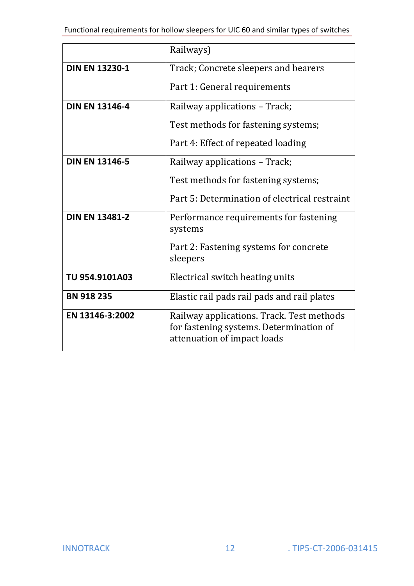|                       | Railways)                                                                                                           |  |  |
|-----------------------|---------------------------------------------------------------------------------------------------------------------|--|--|
| <b>DIN EN 13230-1</b> | Track; Concrete sleepers and bearers<br>Part 1: General requirements                                                |  |  |
|                       |                                                                                                                     |  |  |
| <b>DIN EN 13146-4</b> | Railway applications - Track;<br>Test methods for fastening systems;                                                |  |  |
|                       |                                                                                                                     |  |  |
|                       | Part 4: Effect of repeated loading                                                                                  |  |  |
| <b>DIN EN 13146-5</b> | Railway applications - Track;                                                                                       |  |  |
|                       | Test methods for fastening systems;                                                                                 |  |  |
|                       | Part 5: Determination of electrical restraint                                                                       |  |  |
| <b>DIN EN 13481-2</b> | Performance requirements for fastening<br>systems                                                                   |  |  |
|                       | Part 2: Fastening systems for concrete<br>sleepers                                                                  |  |  |
| TU 954.9101A03        | Electrical switch heating units                                                                                     |  |  |
| <b>BN 918 235</b>     | Elastic rail pads rail pads and rail plates                                                                         |  |  |
| EN 13146-3:2002       | Railway applications. Track. Test methods<br>for fastening systems. Determination of<br>attenuation of impact loads |  |  |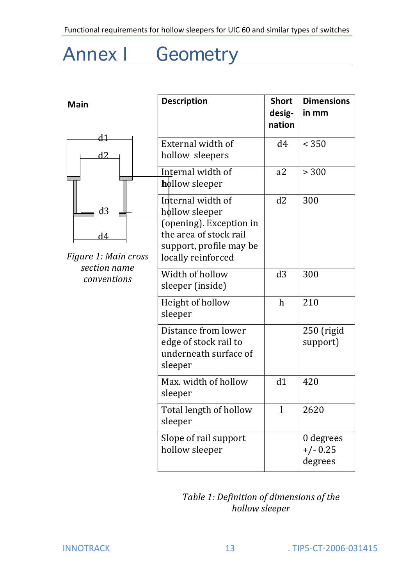### Annex I Geometry

| <b>Main</b>                                                                        | <b>Description</b>                                                                                                                        | <b>Short</b><br>desig-<br>nation | <b>Dimensions</b><br>in mm         |
|------------------------------------------------------------------------------------|-------------------------------------------------------------------------------------------------------------------------------------------|----------------------------------|------------------------------------|
| <u>d1</u><br>d2<br>d3<br>d4<br>Figure 1: Main cross<br>section name<br>conventions | External width of<br>hollow sleepers                                                                                                      | d4                               | < 350                              |
|                                                                                    | Internal width of<br>hollow sleeper                                                                                                       | a2                               | > 300                              |
|                                                                                    | Internal width of<br>hollow sleeper<br>(opening). Exception in<br>the area of stock rail<br>support, profile may be<br>locally reinforced | d2                               | 300                                |
|                                                                                    | Width of hollow<br>sleeper (inside)                                                                                                       | d3                               | 300                                |
|                                                                                    | Height of hollow<br>sleeper                                                                                                               | $\mathbf h$                      | 210                                |
|                                                                                    | Distance from lower<br>edge of stock rail to<br>underneath surface of<br>sleeper                                                          |                                  | $250$ (rigid<br>support)           |
|                                                                                    | Max. width of hollow<br>sleeper                                                                                                           | d1                               | 420                                |
|                                                                                    | Total length of hollow<br>sleeper                                                                                                         | l                                | 2620                               |
|                                                                                    | Slope of rail support<br>hollow sleeper                                                                                                   |                                  | 0 degrees<br>$+/- 0.25$<br>degrees |

#### *Table 1: Definition of dimensions of the hollow\$sleeper*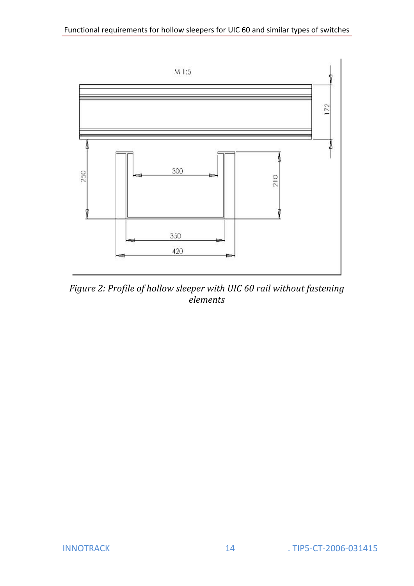

Figure 2: Profile of hollow sleeper with UIC 60 rail without fastening  $\frac{1}{\text{elements}}$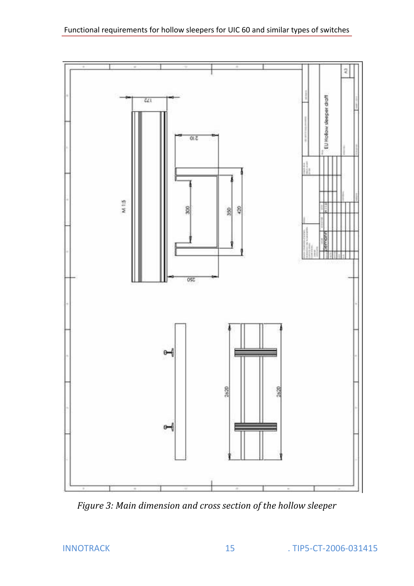

Figure 3: Main dimension and cross section of the hollow sleeper

**INNOTRACK**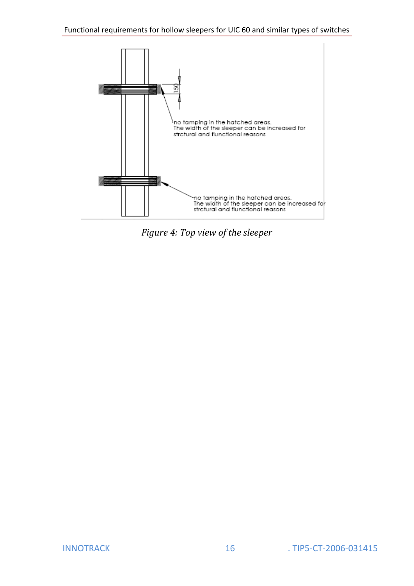

Figure 4: Top view of the sleeper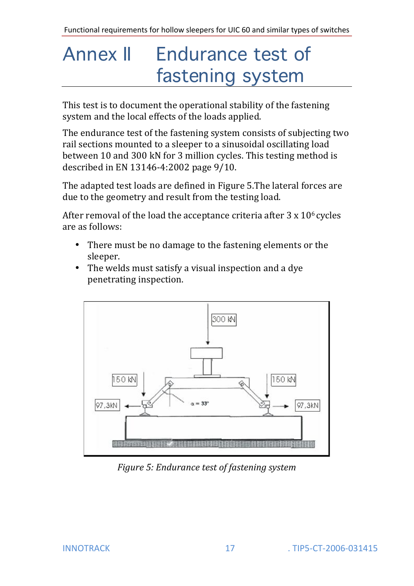# Annex II Endurance test of fastening system

This test is to document the operational stability of the fastening system and the local effects of the loads applied.

The endurance test of the fastening system consists of subjecting two rail sections mounted to a sleeper to a sinusoidal oscillating load between 10 and 300 kN for 3 million cycles. This testing method is described in EN 13146-4:2002 page 9/10.

The adapted test loads are defined in Figure 5.The lateral forces are due to the geometry and result from the testing load.

After removal of the load the acceptance criteria after  $3 \times 10^6$  cycles are as follows:

- There must be no damage to the fastening elements or the sleeper.
- The welds must satisfy a visual inspection and a dye penetrating inspection.



*Figure 5: Endurance test of fastening system*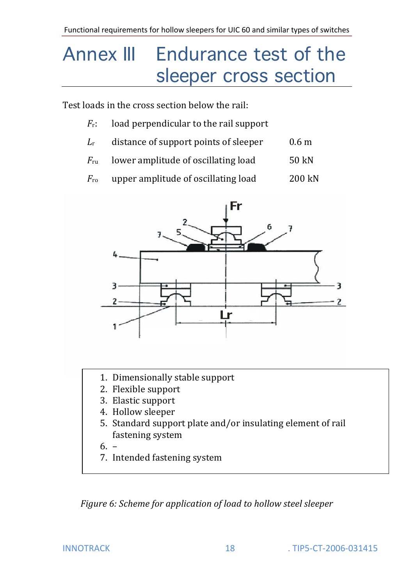## Annex III Endurance test of the sleeper cross section

Test loads in the cross section below the rail:

- $F_r$ : load perpendicular to the rail support
- $L_r$  distance of support points of sleeper 0.6 m
- $F_{\text{ru}}$  lower amplitude of oscillating load 50 kN
- $F_{\text{ro}}$  upper amplitude of oscillating load 200 kN



- 1. Dimensionally stable support
- 2. Flexible support
- 3. Elastic support
- 4. Hollow sleeper
- 5. Standard support plate and/or insulating element of rail fastening system
- 6. –
- 7. Intended fastening system

*Figure 6: Scheme for application of load to hollow steel sleeper*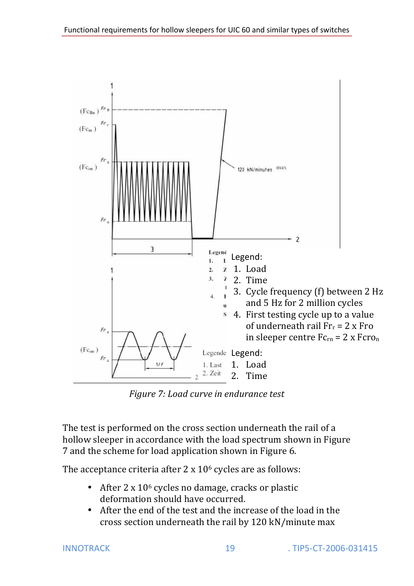

*Figure 7: Load curve in endurance test* 

The test is performed on the cross section underneath the rail of a hollow sleeper in accordance with the load spectrum shown in Figure 7 and the scheme for load application shown in Figure 6.

The acceptance criteria after  $2 \times 10^6$  cycles are as follows:

- After 2 x  $10<sup>6</sup>$  cycles no damage, cracks or plastic deformation should have occurred.
- After the end of the test and the increase of the load in the cross section underneath the rail by 120 kN/minute max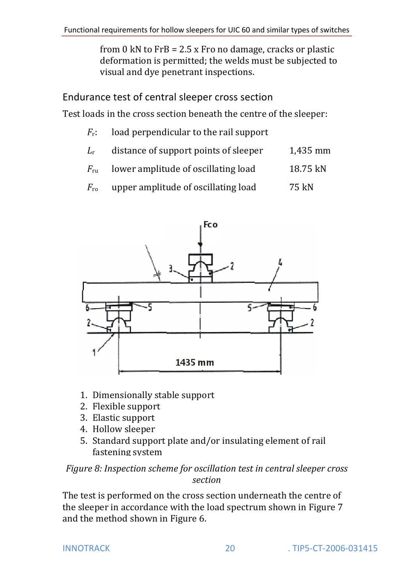from 0 kN to  $FrB = 2.5$  x Fro no damage, cracks or plastic deformation is permitted; the welds must be subjected to visual and dye penetrant inspections.

Endurance test of central sleeper cross section

Test loads in the cross section beneath the centre of the sleeper:

- $F_r$ : load perpendicular to the rail support
- $L_r$  distance of support points of sleeper 1,435 mm
- $F_{\text{ru}}$  lower amplitude of oscillating load 18.75 kN
- $F_{\text{ro}}$  upper amplitude of oscillating load 75 kN



- 1. Dimensionally stable support
- 2. Flexible support
- 3. Elastic support
- 4. Hollow sleeper
- 5. Standard support plate and/or insulating element of rail fastening system

#### *Figure 8: Inspection scheme for oscillation test in central sleeper cross section*

The test is performed on the cross section underneath the centre of the sleeper in accordance with the load spectrum shown in Figure 7 and the method shown in Figure 6.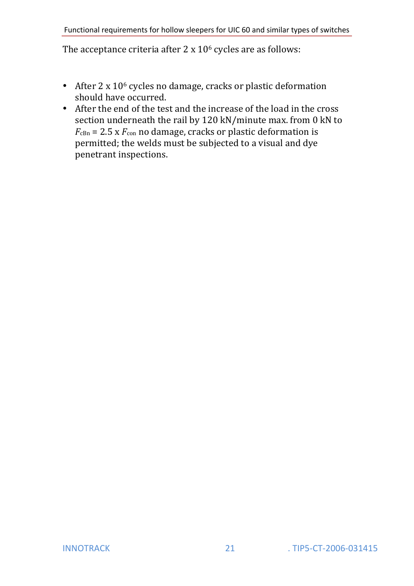The acceptance criteria after  $2 \times 10^6$  cycles are as follows:

- After  $2 \times 10^6$  cycles no damage, cracks or plastic deformation should have occurred.
- After the end of the test and the increase of the load in the cross! section underneath the rail by 120 kN/minute max. from 0 kN to  $F_{\text{cBn}}$  = 2.5 x  $F_{\text{con}}$  no damage, cracks or plastic deformation is permitted; the welds must be subjected to a visual and dye penetrant inspections.